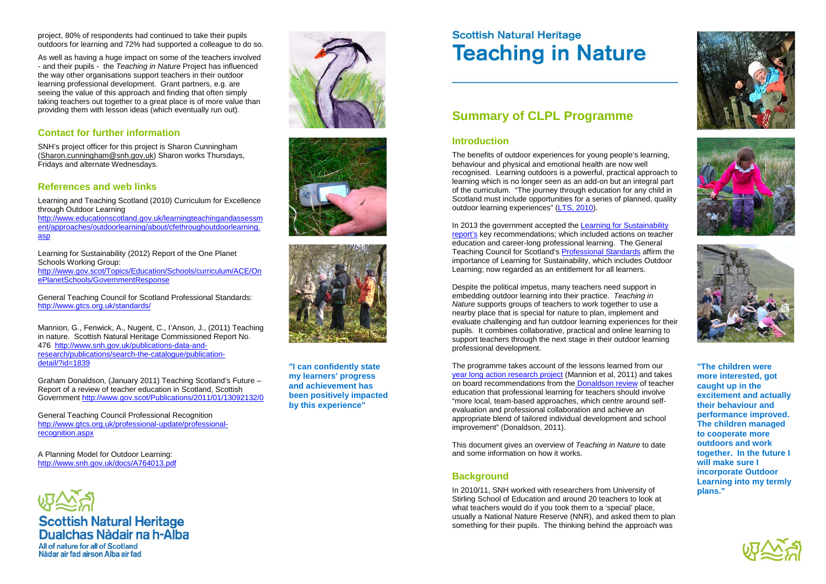## **Summary of CLPL Programme**

#### **Introduction**

The benefits of outdoor experiences for young people's learning, behaviour and physical and emotional health are now well recognised. Learning outdoors is a powerful, practical approach to learning which is no longer seen as an add-on but an integral part of the curriculum. "The journey through education for any child in Scotland must include opportunities for a series of planned, quality outdoor learning experiences" (LTS, [2010\)](http://www.educationscotland.gov.uk/learningteachingandassessment/approaches/outdoorlearning/about/cfethroughoutdoorlearning.asp).

In 2013 the government accepted the [Learning for Sustainability](http://www.gov.scot/Topics/Education/Schools/curriculum/ACE/OnePlanetSchools/GovernmentResponse)  [report's](http://www.gov.scot/Topics/Education/Schools/curriculum/ACE/OnePlanetSchools/GovernmentResponse) key recommendations; which included actions on teacher education and career-long professional learning. The General Teaching Council for Scotland's [Professional Standards](http://www.gtcs.org.uk/standards/) affirm the importance of Learning for Sustainability, which includes Outdoor Learning; now regarded as an entitlement for all learners.

Despite the political impetus, many teachers need support in embedding outdoor learning into their practice. *Teaching in Nature* supports groups of teachers to work together to use a nearby place that is special for nature to plan, implement and evaluate challenging and fun outdoor learning experiences for their pupils. It combines collaborative, practical and online learning to support teachers through the next stage in their outdoor learning professional development.

The programme takes account of the lessons learned from our [year long action research project](http://www.snh.gov.uk/publications-data-and-research/publications/search-the-catalogue/publication-detail/?id=1839) (Mannion et al, 2011) and takes on board recommendations from the [Donaldson review](http://www.gov.scot/Publications/2011/01/13092132/0) of teacher education that professional learning for teachers should involve "more local, team-based approaches, which centre around selfevaluation and professional collaboration and achieve an appropriate blend of tailored individual development and school improvement" (Donaldson, 2011).

[http://www.educationscotland.gov.uk/learningteachingandassessm](http://www.educationscotland.gov.uk/learningteachingandassessment/approaches/outdoorlearning/about/cfethroughoutdoorlearning.asp) [ent/approaches/outdoorlearning/about/cfethroughoutdoorlearning.](http://www.educationscotland.gov.uk/learningteachingandassessment/approaches/outdoorlearning/about/cfethroughoutdoorlearning.asp) [asp](http://www.educationscotland.gov.uk/learningteachingandassessment/approaches/outdoorlearning/about/cfethroughoutdoorlearning.asp)

> This document gives an overview of *Teaching in Nature* to date and some information on how it works.

#### **Background**

In 2010/11, SNH worked with researchers from University of Stirling School of Education and around 20 teachers to look at what teachers would do if you took them to a 'special' place, usually a National Nature Reserve (NNR), and asked them to plan something for their pupils. The thinking behind the approach was









project, 80% of respondents had continued to take their pupils outdoors for learning and 72% had supported a colleague to do so.

As well as having a huge impact on some of the teachers involved - and their pupils - the *Teaching in Nature* Project has influenced the way other organisations support teachers in their outdoor learning professional development. Grant partners, e.g. are seeing the value of this approach and finding that often simply taking teachers out together to a great place is of more value than providing them with lesson ideas (which eventually run out).

### **Contact for further information**

SNH's project officer for this project is Sharon Cunningham [\(Sharon.cunningham@snh.gov.uk\)](mailto:Sharon.cunningham@snh.gov.uk) Sharon works Thursdays, Fridays and alternate Wednesdays.

#### **References and web links**

Learning and Teaching Scotland (2010) Curriculum for Excellence through Outdoor Learning

Learning for Sustainability (2012) Report of the One Planet Schools Working Group: [http://www.gov.scot/Topics/Education/Schools/curriculum/ACE/On](http://www.gov.scot/Topics/Education/Schools/curriculum/ACE/OnePlanetSchools/GovernmentResponse) [ePlanetSchools/GovernmentResponse](http://www.gov.scot/Topics/Education/Schools/curriculum/ACE/OnePlanetSchools/GovernmentResponse)

General Teaching Council for Scotland Professional Standards: <http://www.gtcs.org.uk/standards/>

Mannion, G., Fenwick, A., Nugent, C., I'Anson, J., (2011) Teaching in nature. Scottish Natural Heritage Commissioned Report No. 476 [http://www.snh.gov.uk/publications-data-and](http://www.snh.gov.uk/publications-data-and-research/publications/search-the-catalogue/publication-detail/?id=1839)[research/publications/search-the-catalogue/publication](http://www.snh.gov.uk/publications-data-and-research/publications/search-the-catalogue/publication-detail/?id=1839)[detail/?id=1839](http://www.snh.gov.uk/publications-data-and-research/publications/search-the-catalogue/publication-detail/?id=1839)

Graham Donaldson, (January 2011) Teaching Scotland's Future – Report of a review of teacher education in Scotland, Scottish Government<http://www.gov.scot/Publications/2011/01/13092132/0>

General Teaching Council Professional Recognition [http://www.gtcs.org.uk/professional-update/professional](http://www.gtcs.org.uk/professional-update/professional-recognition.aspx)[recognition.aspx](http://www.gtcs.org.uk/professional-update/professional-recognition.aspx)

A Planning Model for Outdoor Learning: <http://www.snh.gov.uk/docs/A764013.pdf>



## Scottish Natural Heritage<br>Dualchas Nàdair na h-Alba All of nature for all of Scotland

Nàdar air fad airson Alba air fad







**"The children were more interested, got caught up in the excitement and actually their behaviour and performance improved. The children managed to cooperate more outdoors and work together. In the future I will make sure I incorporate Outdoor Learning into my termly plans."** 



**"I can confidently state my learners' progress and achievement has been positively impacted by this experience"** 

# **Scottish Natural Heritage Teaching in Nature**